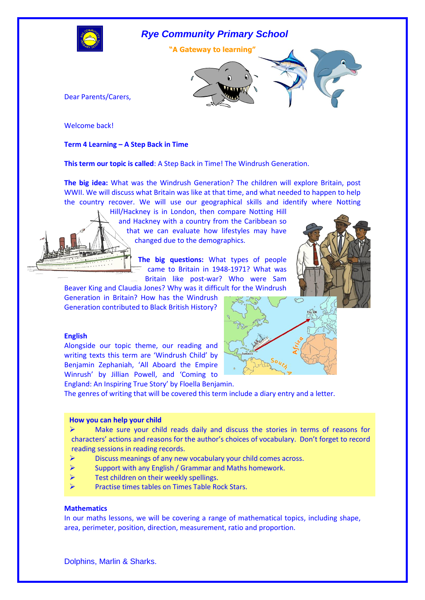

### *Rye Community Primary School*





Dear Parents/Carers,

Welcome back!

### **Term 4 Learning – A Step Back in Time**

**This term our topic is called**: A Step Back in Time! The Windrush Generation.

**The big idea:** What was the Windrush Generation? The children will explore Britain, post WWII. We will discuss what Britain was like at that time, and what needed to happen to help the country recover. We will use our geographical skills and identify where Notting

Hill/Hackney is in London, then compare Notting Hill and Hackney with a country from the Caribbean so that we can evaluate how lifestyles may have changed due to the demographics.

> **The big questions:** What types of people came to Britain in 1948-1971? What was Britain like post-war? Who were Sam

Beaver King and Claudia Jones? Why was it difficult for the Windrush Generation in Britain? How has the Windrush Generation contributed to Black British History?

#### **English**

Alongside our topic theme, our reading and writing texts this term are 'Windrush Child' by Benjamin Zephaniah, 'All Aboard the Empire Winrush' by Jillian Powell, and 'Coming to England: An Inspiring True Story' by Floella Benjamin.





The genres of writing that will be covered this term include a diary entry and a letter.

#### **How you can help your child**

 $\triangleright$  Make sure your child reads daily and discuss the stories in terms of reasons for characters' actions and reasons for the author's choices of vocabulary. Don't forget to record reading sessions in reading records.

- Discuss meanings of any new vocabulary your child comes across.
- Support with any English / Grammar and Maths homework.
- Test children on their weekly spellings.
- Practise times tables on Times Table Rock Stars.

### **Mathematics .**

In our maths lessons, we will be covering a range of mathematical topics, including shape, area, perimeter, position, direction, measurement, ratio and proportion.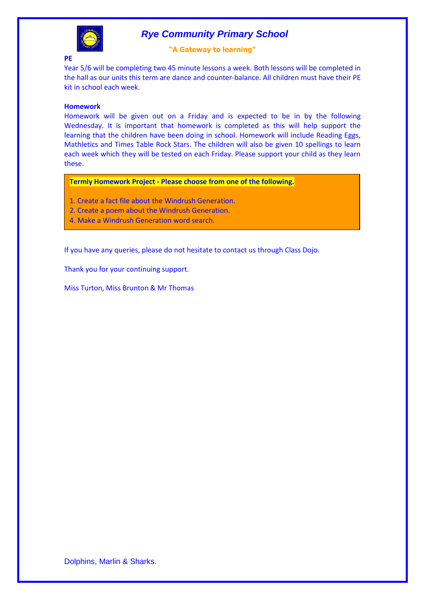

## *Rye Community Primary School*

### **"A Gateway to learning"**

Year 5/6 will be completing two 45 minute lessons a week. Both lessons will be completed in the hall as our units this term are dance and counter-balance. All children must have their PE kit in school each week.

### **Homework**

Homework will be given out on a Friday and is expected to be in by the following Wednesday. It is important that homework is completed as this will help support the learning that the children have been doing in school. Homework will include Reading Eggs, Mathletics and Times Table Rock Stars. The children will also be given 10 spellings to learn each week which they will be tested on each Friday. Please support your child as they learn these.

**Termly Homework Project - Please choose from one of the following.**

- 1. Create a fact file about the Windrush Generation.
- 2. Create a poem about the Windrush Generation.
- 4. Make a Windrush Generation word search.

If you have any queries, please do not hesitate to contact us through Class Dojo.

Thank you for your continuing support.

Miss Turton, Miss Brunton & Mr Thomas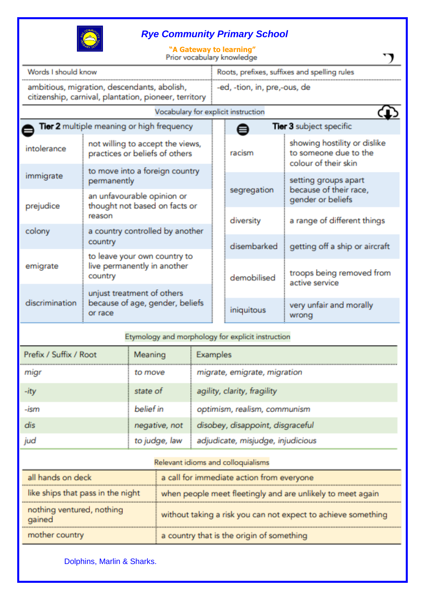

# *Rye Community Primary School*

| Words I should know                                                                                  |                                                                          |             | Roots, prefixes, suffixes and spelling rules |                                                                               |  |
|------------------------------------------------------------------------------------------------------|--------------------------------------------------------------------------|-------------|----------------------------------------------|-------------------------------------------------------------------------------|--|
| ambitious, migration, descendants, abolish,<br>citizenship, carnival, plantation, pioneer, territory |                                                                          |             | -ed, -tion, in, pre,-ous, de                 |                                                                               |  |
|                                                                                                      | Vocabulary for explicit instruction                                      |             |                                              |                                                                               |  |
|                                                                                                      | <b>Tier 2</b> multiple meaning or high frequency                         |             | <b>Tier 3 subject specific</b>               |                                                                               |  |
| intolerance                                                                                          | not willing to accept the views,<br>practices or beliefs of others       |             | racism                                       | showing hostility or dislike<br>to someone due to the<br>colour of their skin |  |
| immigrate                                                                                            | to move into a foreign country<br>permanently                            |             | segregation                                  | setting groups apart<br>because of their race,                                |  |
| prejudice                                                                                            | an unfavourable opinion or<br>thought not based on facts or<br>reason    |             |                                              | gender or beliefs                                                             |  |
| colony                                                                                               | a country controlled by another<br>country                               |             | diversity<br>disembarked                     | a range of different things                                                   |  |
|                                                                                                      | to leave your own country to<br>live permanently in another<br>country   |             |                                              | getting off a ship or aircraft                                                |  |
| emigrate                                                                                             |                                                                          | demobilised | troops being removed from<br>active service  |                                                                               |  |
| discrimination                                                                                       | unjust treatment of others<br>because of age, gender, beliefs<br>or race |             |                                              |                                                                               |  |
|                                                                                                      |                                                                          |             | iniquitous                                   | very unfair and morally<br>wrong                                              |  |

| Prefix / Suffix / Root | Meaning       | Examples                          |
|------------------------|---------------|-----------------------------------|
| migr                   | to move       | migrate, emigrate, migration      |
| -ity                   | state of      | agility, clarity, fragility       |
| -ism                   | belief in     | optimism, realism, communism      |
| dis                    | negative, not | disobey, disappoint, disgraceful  |
| jud                    | to judge, law | adjudicate, misjudge, injudicious |

# Relevant idioms and colloquialisms

| all hands on deck                   | a call for immediate action from everyone                     |
|-------------------------------------|---------------------------------------------------------------|
| like ships that pass in the night   | when people meet fleetingly and are unlikely to meet again    |
| nothing ventured, nothing<br>gained | without taking a risk you can not expect to achieve something |
| mother country                      | a country that is the origin of something                     |